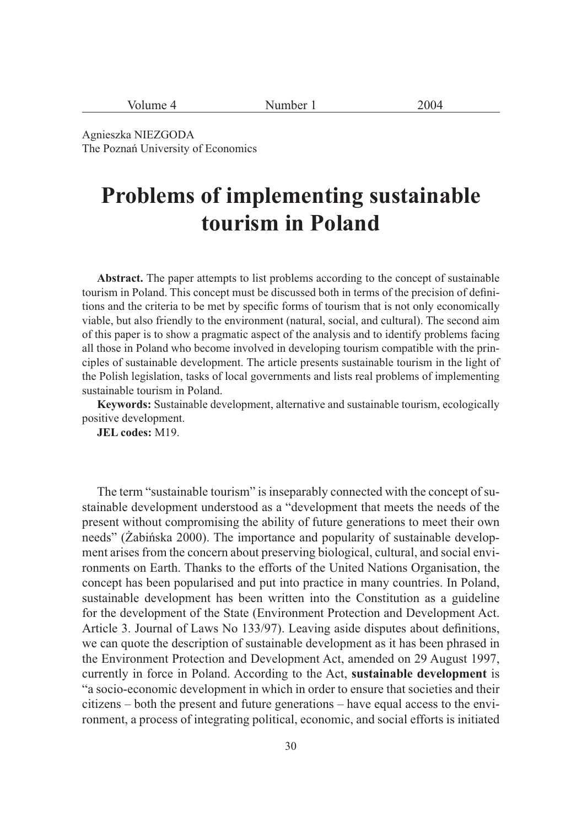| Volume 4 | Number $_1$ | 2004 |
|----------|-------------|------|
|----------|-------------|------|

Agnieszka NIEZGODA The Poznań University of Economics

# **Problems of implementing sustainable tourism in Poland**

**Abstract.** The paper attempts to list problems according to the concept of sustainable tourism in Poland. This concept must be discussed both in terms of the precision of definitions and the criteria to be met by specific forms of tourism that is not only economically viable, but also friendly to the environment (natural, social, and cultural). The second aim of this paper is to show a pragmatic aspect of the analysis and to identify problems facing all those in Poland who become involved in developing tourism compatible with the principles of sustainable development. The article presents sustainable tourism in the light of the Polish legislation, tasks of local governments and lists real problems of implementing sustainable tourism in Poland.

**Keywords:** Sustainable development, alternative and sustainable tourism, ecologically positive development.

**JEL codes:** M19.

The term "sustainable tourism" is inseparably connected with the concept of sustainable development understood as a "development that meets the needs of the present without compromising the ability of future generations to meet their own needs" (Żabińska 2000). The importance and popularity of sustainable development arises from the concern about preserving biological, cultural, and social environments on Earth. Thanks to the efforts of the United Nations Organisation, the concept has been popularised and put into practice in many countries. In Poland, sustainable development has been written into the Constitution as a guideline for the development of the State (Environment Protection and Development Act. Article 3. Journal of Laws No 133/97). Leaving aside disputes about definitions, we can quote the description of sustainable development as it has been phrased in the Environment Protection and Development Act, amended on 29 August 1997, currently in force in Poland. According to the Act, **sustainable development** is "a socio-economic development in which in order to ensure that societies and their citizens – both the present and future generations – have equal access to the environment, a process of integrating political, economic, and social efforts is initiated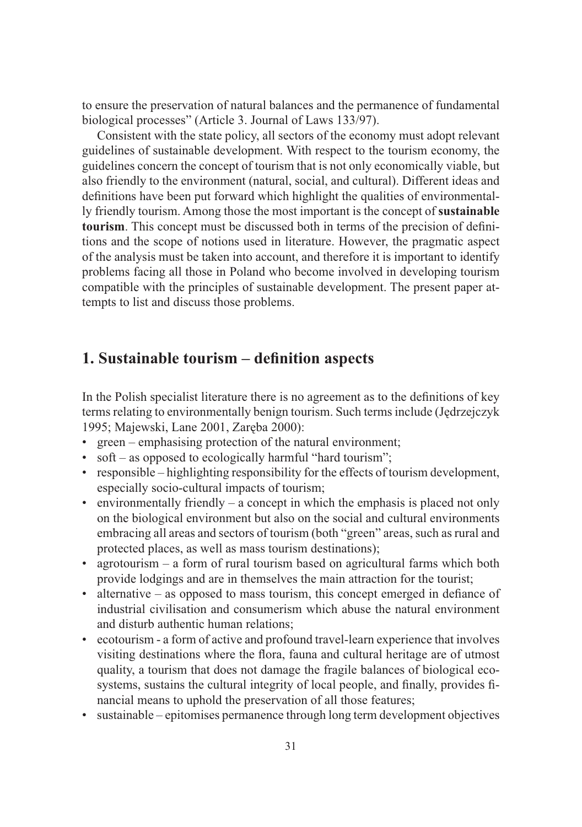to ensure the preservation of natural balances and the permanence of fundamental biological processes" (Article 3. Journal of Laws 133/97).

Consistent with the state policy, all sectors of the economy must adopt relevant guidelines of sustainable development. With respect to the tourism economy, the guidelines concern the concept of tourism that is not only economically viable, but also friendly to the environment (natural, social, and cultural). Different ideas and definitions have been put forward which highlight the qualities of environmentally friendly tourism. Among those the most important is the concept of **sustainable tourism**. This concept must be discussed both in terms of the precision of definitions and the scope of notions used in literature. However, the pragmatic aspect of the analysis must be taken into account, and therefore it is important to identify problems facing all those in Poland who become involved in developing tourism compatible with the principles of sustainable development. The present paper attempts to list and discuss those problems.

## **1. Sustainable tourism – definition aspects**

In the Polish specialist literature there is no agreement as to the definitions of key terms relating to environmentally benign tourism. Such terms include (Jędrzejczyk 1995; Majewski, Lane 2001, Zaręba 2000):

- green emphasising protection of the natural environment;
- soft as opposed to ecologically harmful "hard tourism";
- responsible highlighting responsibility for the effects of tourism development, especially socio-cultural impacts of tourism;
- environmentally friendly a concept in which the emphasis is placed not only on the biological environment but also on the social and cultural environments embracing all areas and sectors of tourism (both "green" areas, such as rural and protected places, as well as mass tourism destinations);
- agrotourism a form of rural tourism based on agricultural farms which both provide lodgings and are in themselves the main attraction for the tourist;
- alternative as opposed to mass tourism, this concept emerged in defiance of industrial civilisation and consumerism which abuse the natural environment and disturb authentic human relations;
- ecotourism a form of active and profound travel-learn experience that involves visiting destinations where the flora, fauna and cultural heritage are of utmost quality, a tourism that does not damage the fragile balances of biological ecosystems, sustains the cultural integrity of local people, and finally, provides financial means to uphold the preservation of all those features;
- sustainable epitomises permanence through long term development objectives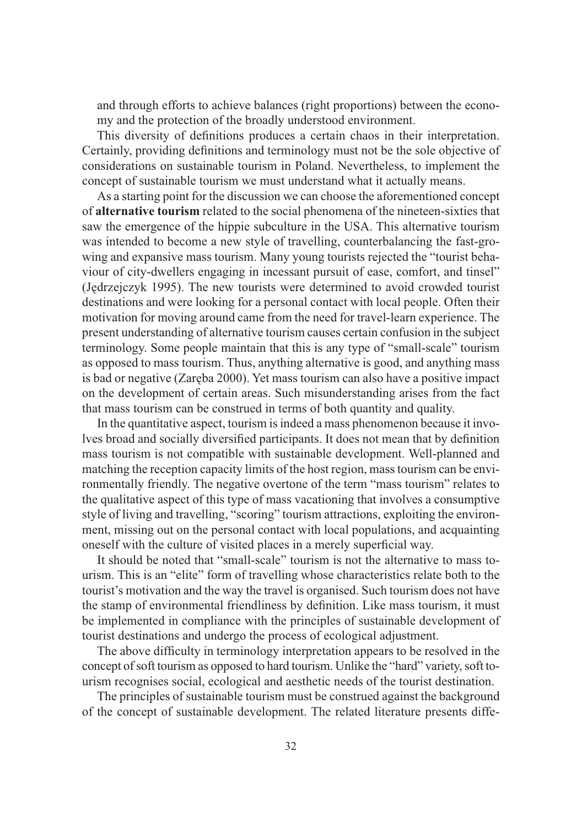and through efforts to achieve balances (right proportions) between the economy and the protection of the broadly understood environment.

This diversity of definitions produces a certain chaos in their interpretation. Certainly, providing definitions and terminology must not be the sole objective of considerations on sustainable tourism in Poland. Nevertheless, to implement the concept of sustainable tourism we must understand what it actually means.

As a starting point for the discussion we can choose the aforementioned concept of **alternative tourism** related to the social phenomena of the nineteen-sixties that saw the emergence of the hippie subculture in the USA. This alternative tourism was intended to become a new style of travelling, counterbalancing the fast-growing and expansive mass tourism. Many young tourists rejected the "tourist behaviour of city-dwellers engaging in incessant pursuit of ease, comfort, and tinsel" (Jędrzejczyk 1995). The new tourists were determined to avoid crowded tourist destinations and were looking for a personal contact with local people. Often their motivation for moving around came from the need for travel-learn experience. The present understanding of alternative tourism causes certain confusion in the subject terminology. Some people maintain that this is any type of "small-scale" tourism as opposed to mass tourism. Thus, anything alternative is good, and anything mass is bad or negative (Zaręba 2000). Yet mass tourism can also have a positive impact on the development of certain areas. Such misunderstanding arises from the fact that mass tourism can be construed in terms of both quantity and quality.

In the quantitative aspect, tourism is indeed a mass phenomenon because it involves broad and socially diversified participants. It does not mean that by definition mass tourism is not compatible with sustainable development. Well-planned and matching the reception capacity limits of the host region, mass tourism can be environmentally friendly. The negative overtone of the term "mass tourism" relates to the qualitative aspect of this type of mass vacationing that involves a consumptive style of living and travelling, "scoring" tourism attractions, exploiting the environment, missing out on the personal contact with local populations, and acquainting oneself with the culture of visited places in a merely superficial way.

It should be noted that "small-scale" tourism is not the alternative to mass tourism. This is an "elite" form of travelling whose characteristics relate both to the tourist's motivation and the way the travel is organised. Such tourism does not have the stamp of environmental friendliness by definition. Like mass tourism, it must be implemented in compliance with the principles of sustainable development of tourist destinations and undergo the process of ecological adjustment.

The above difficulty in terminology interpretation appears to be resolved in the concept of soft tourism as opposed to hard tourism. Unlike the "hard" variety, soft tourism recognises social, ecological and aesthetic needs of the tourist destination.

The principles of sustainable tourism must be construed against the background of the concept of sustainable development. The related literature presents diffe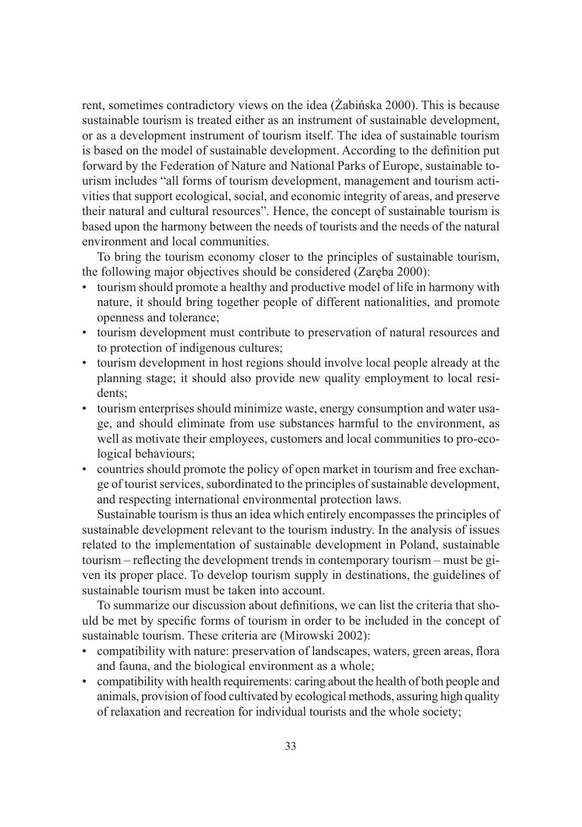rent, sometimes contradictory views on the idea (Żabińska 2000). This is because sustainable tourism is treated either as an instrument of sustainable development, or as a development instrument of tourism itself. The idea of sustainable tourism is based on the model of sustainable development. According to the definition put forward by the Federation of Nature and National Parks of Europe, sustainable tourism includes "all forms of tourism development, management and tourism activities that support ecological, social, and economic integrity of areas, and preserve their natural and cultural resources". Hence, the concept of sustainable tourism is based upon the harmony between the needs of tourists and the needs of the natural environment and local communities.

To bring the tourism economy closer to the principles of sustainable tourism, the following major objectives should be considered (Zaręba 2000):

- tourism should promote a healthy and productive model of life in harmony with nature, it should bring together people of different nationalities, and promote openness and tolerance;
- tourism development must contribute to preservation of natural resources and to protection of indigenous cultures;
- tourism development in host regions should involve local people already at the planning stage; it should also provide new quality employment to local residents;
- tourism enterprises should minimize waste, energy consumption and water usage, and should eliminate from use substances harmful to the environment, as well as motivate their employees, customers and local communities to pro-ecological behaviours;
- countries should promote the policy of open market in tourism and free exchange of tourist services, subordinated to the principles of sustainable development, and respecting international environmental protection laws.

Sustainable tourism is thus an idea which entirely encompasses the principles of sustainable development relevant to the tourism industry. In the analysis of issues related to the implementation of sustainable development in Poland, sustainable tourism – reflecting the development trends in contemporary tourism – must be given its proper place. To develop tourism supply in destinations, the guidelines of sustainable tourism must be taken into account.

To summarize our discussion about definitions, we can list the criteria that should be met by specific forms of tourism in order to be included in the concept of sustainable tourism. These criteria are (Mirowski 2002):

- compatibility with nature: preservation of landscapes, waters, green areas, flora and fauna, and the biological environment as a whole;
- compatibility with health requirements: caring about the health of both people and animals, provision of food cultivated by ecological methods, assuring high quality of relaxation and recreation for individual tourists and the whole society;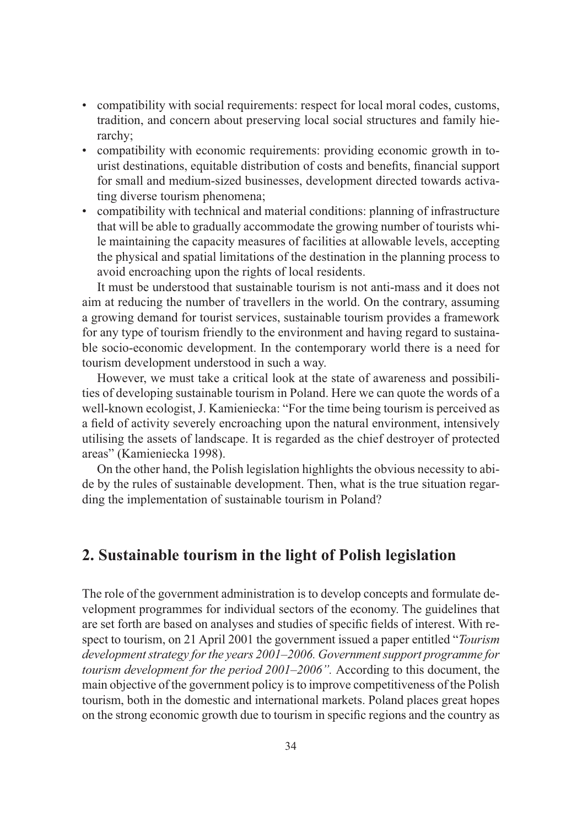- compatibility with social requirements: respect for local moral codes, customs, tradition, and concern about preserving local social structures and family hierarchy;
- compatibility with economic requirements: providing economic growth in tourist destinations, equitable distribution of costs and benefits, financial support for small and medium-sized businesses, development directed towards activating diverse tourism phenomena;
- compatibility with technical and material conditions: planning of infrastructure that will be able to gradually accommodate the growing number of tourists while maintaining the capacity measures of facilities at allowable levels, accepting the physical and spatial limitations of the destination in the planning process to avoid encroaching upon the rights of local residents.

It must be understood that sustainable tourism is not anti-mass and it does not aim at reducing the number of travellers in the world. On the contrary, assuming a growing demand for tourist services, sustainable tourism provides a framework for any type of tourism friendly to the environment and having regard to sustainable socio-economic development. In the contemporary world there is a need for tourism development understood in such a way.

However, we must take a critical look at the state of awareness and possibilities of developing sustainable tourism in Poland. Here we can quote the words of a well-known ecologist, J. Kamieniecka: "For the time being tourism is perceived as a field of activity severely encroaching upon the natural environment, intensively utilising the assets of landscape. It is regarded as the chief destroyer of protected areas" (Kamieniecka 1998).

On the other hand, the Polish legislation highlights the obvious necessity to abide by the rules of sustainable development. Then, what is the true situation regarding the implementation of sustainable tourism in Poland?

#### **2. Sustainable tourism in the light of Polish legislation**

The role of the government administration is to develop concepts and formulate development programmes for individual sectors of the economy. The guidelines that are set forth are based on analyses and studies of specific fields of interest. With respect to tourism, on 21 April 2001 the government issued a paper entitled "*Tourism development strategy for the years 2001–2006. Government support programme for tourism development for the period 2001–2006".* According to this document, the main objective of the government policy is to improve competitiveness of the Polish tourism, both in the domestic and international markets. Poland places great hopes on the strong economic growth due to tourism in specific regions and the country as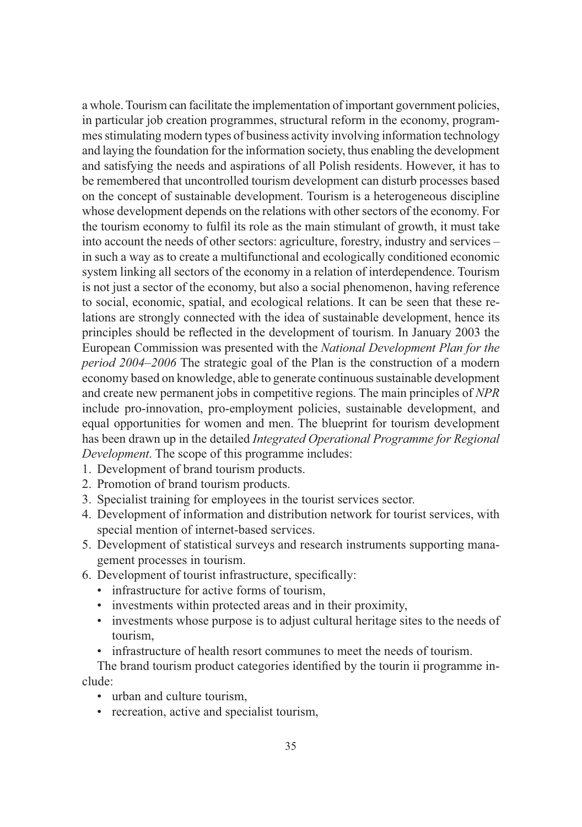a whole. Tourism can facilitate the implementation of important government policies, in particular job creation programmes, structural reform in the economy, programmes stimulating modern types of business activity involving information technology and laying the foundation for the information society, thus enabling the development and satisfying the needs and aspirations of all Polish residents. However, it has to be remembered that uncontrolled tourism development can disturb processes based on the concept of sustainable development. Tourism is a heterogeneous discipline whose development depends on the relations with other sectors of the economy. For the tourism economy to fulfil its role as the main stimulant of growth, it must take into account the needs of other sectors: agriculture, forestry, industry and services – in such a way as to create a multifunctional and ecologically conditioned economic system linking all sectors of the economy in a relation of interdependence. Tourism is not just a sector of the economy, but also a social phenomenon, having reference to social, economic, spatial, and ecological relations. It can be seen that these relations are strongly connected with the idea of sustainable development, hence its principles should be reflected in the development of tourism. In January 2003 the European Commission was presented with the *National Development Plan for the period 2004–2006* The strategic goal of the Plan is the construction of a modern economy based on knowledge, able to generate continuous sustainable development and create new permanent jobs in competitive regions. The main principles of *NPR* include pro-innovation, pro-employment policies, sustainable development, and equal opportunities for women and men. The blueprint for tourism development has been drawn up in the detailed *Integrated Operational Programme for Regional Development*. The scope of this programme includes:

- 1. Development of brand tourism products.
- 2. Promotion of brand tourism products.
- 3. Specialist training for employees in the tourist services sector.
- 4. Development of information and distribution network for tourist services, with special mention of internet-based services.
- 5. Development of statistical surveys and research instruments supporting management processes in tourism.
- 6. Development of tourist infrastructure, specifically:
	- infrastructure for active forms of tourism,
	- investments within protected areas and in their proximity,
	- investments whose purpose is to adjust cultural heritage sites to the needs of tourism,
	- infrastructure of health resort communes to meet the needs of tourism.

The brand tourism product categories identified by the tourin ii programme include:

- urban and culture tourism,
- recreation, active and specialist tourism,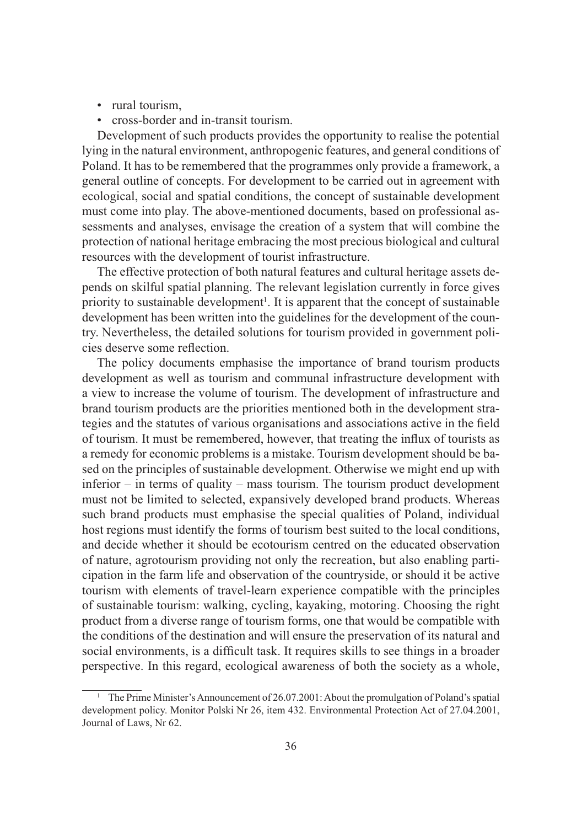- rural tourism,
- cross-border and in-transit tourism.

Development of such products provides the opportunity to realise the potential lying in the natural environment, anthropogenic features, and general conditions of Poland. It has to be remembered that the programmes only provide a framework, a general outline of concepts. For development to be carried out in agreement with ecological, social and spatial conditions, the concept of sustainable development must come into play. The above-mentioned documents, based on professional assessments and analyses, envisage the creation of a system that will combine the protection of national heritage embracing the most precious biological and cultural resources with the development of tourist infrastructure.

The effective protection of both natural features and cultural heritage assets depends on skilful spatial planning. The relevant legislation currently in force gives priority to sustainable development<sup>1</sup>. It is apparent that the concept of sustainable development has been written into the guidelines for the development of the country. Nevertheless, the detailed solutions for tourism provided in government policies deserve some reflection.

The policy documents emphasise the importance of brand tourism products development as well as tourism and communal infrastructure development with a view to increase the volume of tourism. The development of infrastructure and brand tourism products are the priorities mentioned both in the development strategies and the statutes of various organisations and associations active in the field of tourism. It must be remembered, however, that treating the influx of tourists as a remedy for economic problems is a mistake. Tourism development should be based on the principles of sustainable development. Otherwise we might end up with inferior – in terms of quality – mass tourism. The tourism product development must not be limited to selected, expansively developed brand products. Whereas such brand products must emphasise the special qualities of Poland, individual host regions must identify the forms of tourism best suited to the local conditions, and decide whether it should be ecotourism centred on the educated observation of nature, agrotourism providing not only the recreation, but also enabling participation in the farm life and observation of the countryside, or should it be active tourism with elements of travel-learn experience compatible with the principles of sustainable tourism: walking, cycling, kayaking, motoring. Choosing the right product from a diverse range of tourism forms, one that would be compatible with the conditions of the destination and will ensure the preservation of its natural and social environments, is a difficult task. It requires skills to see things in a broader perspective. In this regard, ecological awareness of both the society as a whole,

<sup>&</sup>lt;sup>1</sup> The Prime Minister's Announcement of 26.07.2001: About the promulgation of Poland's spatial development policy. Monitor Polski Nr 26, item 432. Environmental Protection Act of 27.04.2001, Journal of Laws, Nr 62.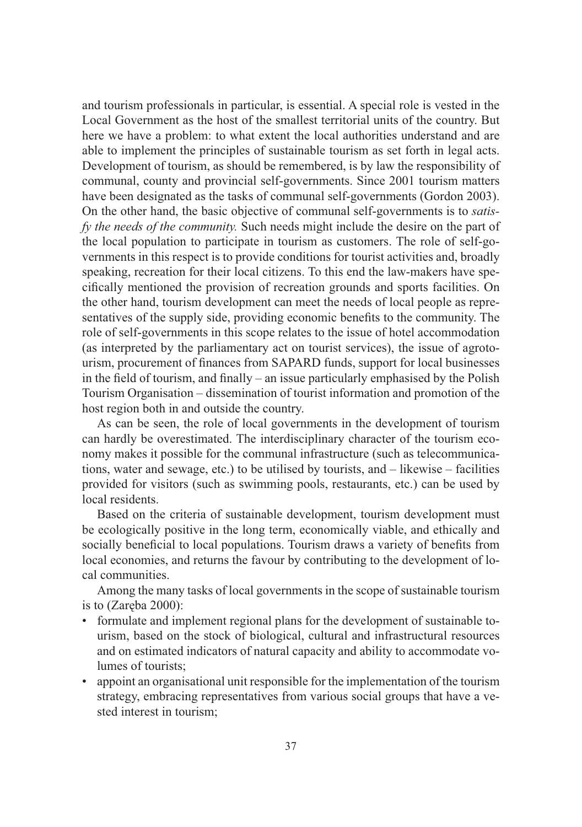and tourism professionals in particular, is essential. A special role is vested in the Local Government as the host of the smallest territorial units of the country. But here we have a problem: to what extent the local authorities understand and are able to implement the principles of sustainable tourism as set forth in legal acts. Development of tourism, as should be remembered, is by law the responsibility of communal, county and provincial self-governments. Since 2001 tourism matters have been designated as the tasks of communal self-governments (Gordon 2003). On the other hand, the basic objective of communal self-governments is to *satisfy the needs of the community.* Such needs might include the desire on the part of the local population to participate in tourism as customers. The role of self-governments in this respect is to provide conditions for tourist activities and, broadly speaking, recreation for their local citizens. To this end the law-makers have specifically mentioned the provision of recreation grounds and sports facilities. On the other hand, tourism development can meet the needs of local people as representatives of the supply side, providing economic benefits to the community. The role of self-governments in this scope relates to the issue of hotel accommodation (as interpreted by the parliamentary act on tourist services), the issue of agrotourism, procurement of finances from SAPARD funds, support for local businesses in the field of tourism, and finally – an issue particularly emphasised by the Polish Tourism Organisation – dissemination of tourist information and promotion of the host region both in and outside the country.

As can be seen, the role of local governments in the development of tourism can hardly be overestimated. The interdisciplinary character of the tourism economy makes it possible for the communal infrastructure (such as telecommunications, water and sewage, etc.) to be utilised by tourists, and – likewise – facilities provided for visitors (such as swimming pools, restaurants, etc.) can be used by local residents.

Based on the criteria of sustainable development, tourism development must be ecologically positive in the long term, economically viable, and ethically and socially beneficial to local populations. Tourism draws a variety of benefits from local economies, and returns the favour by contributing to the development of local communities.

Among the many tasks of local governments in the scope of sustainable tourism is to (Zaręba 2000):

- formulate and implement regional plans for the development of sustainable tourism, based on the stock of biological, cultural and infrastructural resources and on estimated indicators of natural capacity and ability to accommodate volumes of tourists;
- appoint an organisational unit responsible for the implementation of the tourism strategy, embracing representatives from various social groups that have a vested interest in tourism;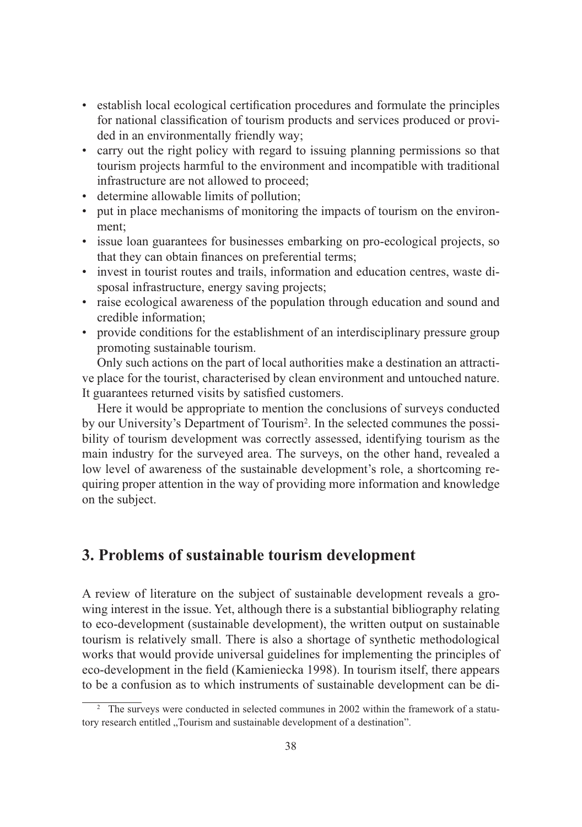- establish local ecological certification procedures and formulate the principles for national classification of tourism products and services produced or provided in an environmentally friendly way;
- carry out the right policy with regard to issuing planning permissions so that tourism projects harmful to the environment and incompatible with traditional infrastructure are not allowed to proceed;
- determine allowable limits of pollution;
- put in place mechanisms of monitoring the impacts of tourism on the environment;
- issue loan guarantees for businesses embarking on pro-ecological projects, so that they can obtain finances on preferential terms;
- invest in tourist routes and trails, information and education centres, waste disposal infrastructure, energy saving projects;
- raise ecological awareness of the population through education and sound and credible information;
- provide conditions for the establishment of an interdisciplinary pressure group promoting sustainable tourism.

Only such actions on the part of local authorities make a destination an attractive place for the tourist, characterised by clean environment and untouched nature. It guarantees returned visits by satisfied customers.

Here it would be appropriate to mention the conclusions of surveys conducted by our University's Department of Tourism2 . In the selected communes the possibility of tourism development was correctly assessed, identifying tourism as the main industry for the surveyed area. The surveys, on the other hand, revealed a low level of awareness of the sustainable development's role, a shortcoming requiring proper attention in the way of providing more information and knowledge on the subject.

### **3. Problems of sustainable tourism development**

A review of literature on the subject of sustainable development reveals a growing interest in the issue. Yet, although there is a substantial bibliography relating to eco-development (sustainable development), the written output on sustainable tourism is relatively small. There is also a shortage of synthetic methodological works that would provide universal guidelines for implementing the principles of eco-development in the field (Kamieniecka 1998). In tourism itself, there appears to be a confusion as to which instruments of sustainable development can be di-

<sup>&</sup>lt;sup>2</sup> The surveys were conducted in selected communes in 2002 within the framework of a statutory research entitled "Tourism and sustainable development of a destination".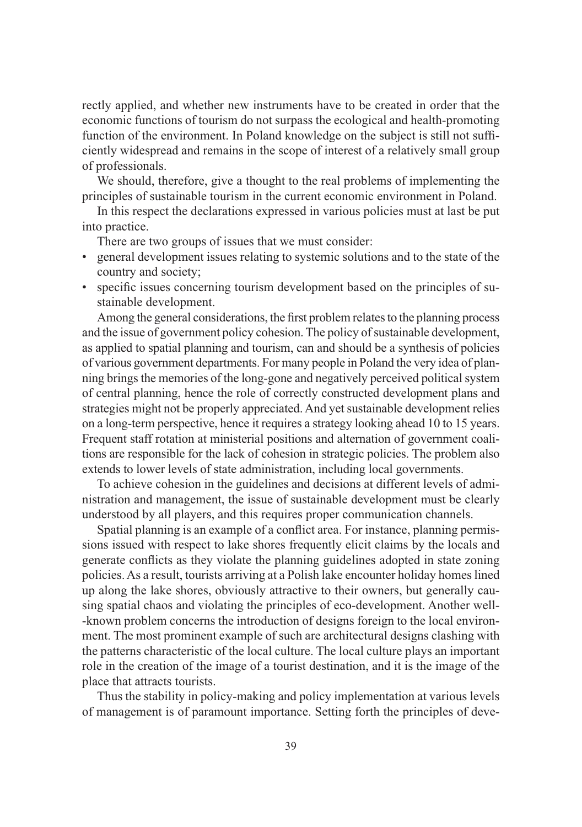rectly applied, and whether new instruments have to be created in order that the economic functions of tourism do not surpass the ecological and health-promoting function of the environment. In Poland knowledge on the subject is still not sufficiently widespread and remains in the scope of interest of a relatively small group of professionals.

We should, therefore, give a thought to the real problems of implementing the principles of sustainable tourism in the current economic environment in Poland.

In this respect the declarations expressed in various policies must at last be put into practice.

There are two groups of issues that we must consider:

- general development issues relating to systemic solutions and to the state of the country and society;
- specific issues concerning tourism development based on the principles of sustainable development.

Among the general considerations, the first problem relates to the planning process and the issue of government policy cohesion. The policy of sustainable development, as applied to spatial planning and tourism, can and should be a synthesis of policies of various government departments. For many people in Poland the very idea of planning brings the memories of the long-gone and negatively perceived political system of central planning, hence the role of correctly constructed development plans and strategies might not be properly appreciated. And yet sustainable development relies on a long-term perspective, hence it requires a strategy looking ahead 10 to 15 years. Frequent staff rotation at ministerial positions and alternation of government coalitions are responsible for the lack of cohesion in strategic policies. The problem also extends to lower levels of state administration, including local governments.

To achieve cohesion in the guidelines and decisions at different levels of administration and management, the issue of sustainable development must be clearly understood by all players, and this requires proper communication channels.

Spatial planning is an example of a conflict area. For instance, planning permissions issued with respect to lake shores frequently elicit claims by the locals and generate conflicts as they violate the planning guidelines adopted in state zoning policies. As a result, tourists arriving at a Polish lake encounter holiday homes lined up along the lake shores, obviously attractive to their owners, but generally causing spatial chaos and violating the principles of eco-development. Another well- -known problem concerns the introduction of designs foreign to the local environment. The most prominent example of such are architectural designs clashing with the patterns characteristic of the local culture. The local culture plays an important role in the creation of the image of a tourist destination, and it is the image of the place that attracts tourists.

Thus the stability in policy-making and policy implementation at various levels of management is of paramount importance. Setting forth the principles of deve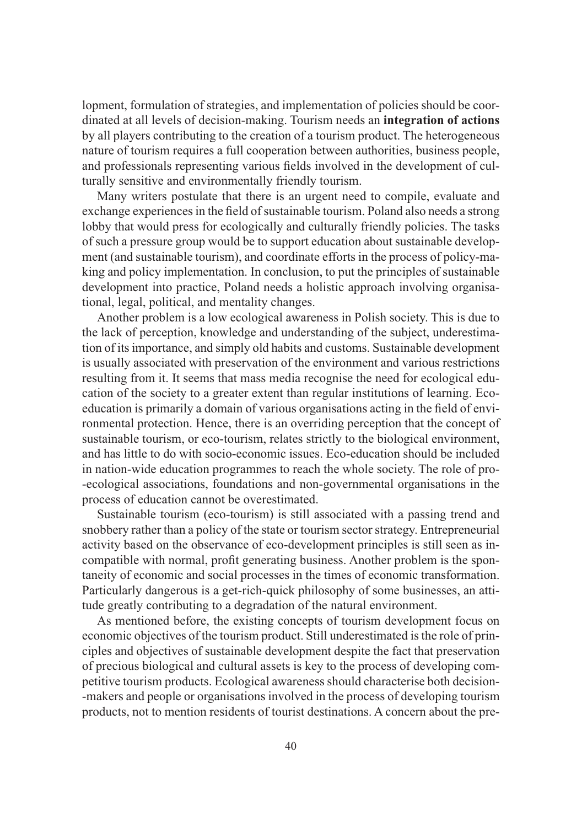lopment, formulation of strategies, and implementation of policies should be coordinated at all levels of decision-making. Tourism needs an **integration of actions** by all players contributing to the creation of a tourism product. The heterogeneous nature of tourism requires a full cooperation between authorities, business people, and professionals representing various fields involved in the development of culturally sensitive and environmentally friendly tourism.

Many writers postulate that there is an urgent need to compile, evaluate and exchange experiences in the field of sustainable tourism. Poland also needs a strong lobby that would press for ecologically and culturally friendly policies. The tasks of such a pressure group would be to support education about sustainable development (and sustainable tourism), and coordinate efforts in the process of policy-making and policy implementation. In conclusion, to put the principles of sustainable development into practice, Poland needs a holistic approach involving organisational, legal, political, and mentality changes.

Another problem is a low ecological awareness in Polish society. This is due to the lack of perception, knowledge and understanding of the subject, underestimation of its importance, and simply old habits and customs. Sustainable development is usually associated with preservation of the environment and various restrictions resulting from it. It seems that mass media recognise the need for ecological education of the society to a greater extent than regular institutions of learning. Ecoeducation is primarily a domain of various organisations acting in the field of environmental protection. Hence, there is an overriding perception that the concept of sustainable tourism, or eco-tourism, relates strictly to the biological environment, and has little to do with socio-economic issues. Eco-education should be included in nation-wide education programmes to reach the whole society. The role of pro- -ecological associations, foundations and non-governmental organisations in the process of education cannot be overestimated.

Sustainable tourism (eco-tourism) is still associated with a passing trend and snobbery rather than a policy of the state or tourism sector strategy. Entrepreneurial activity based on the observance of eco-development principles is still seen as incompatible with normal, profit generating business. Another problem is the spontaneity of economic and social processes in the times of economic transformation. Particularly dangerous is a get-rich-quick philosophy of some businesses, an attitude greatly contributing to a degradation of the natural environment.

As mentioned before, the existing concepts of tourism development focus on economic objectives of the tourism product. Still underestimated is the role of principles and objectives of sustainable development despite the fact that preservation of precious biological and cultural assets is key to the process of developing competitive tourism products. Ecological awareness should characterise both decision- -makers and people or organisations involved in the process of developing tourism products, not to mention residents of tourist destinations. A concern about the pre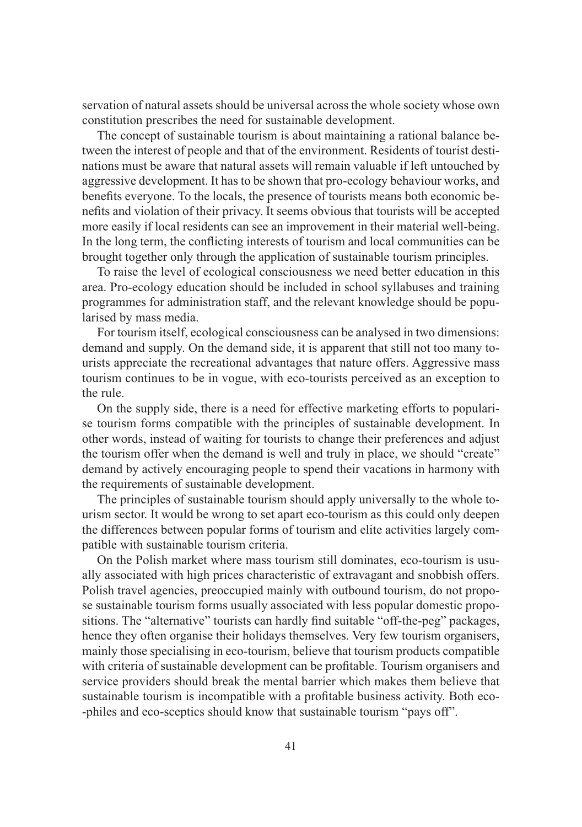servation of natural assets should be universal across the whole society whose own constitution prescribes the need for sustainable development.

The concept of sustainable tourism is about maintaining a rational balance between the interest of people and that of the environment. Residents of tourist destinations must be aware that natural assets will remain valuable if left untouched by aggressive development. It has to be shown that pro-ecology behaviour works, and benefits everyone. To the locals, the presence of tourists means both economic benefits and violation of their privacy. It seems obvious that tourists will be accepted more easily if local residents can see an improvement in their material well-being. In the long term, the conflicting interests of tourism and local communities can be brought together only through the application of sustainable tourism principles.

To raise the level of ecological consciousness we need better education in this area. Pro-ecology education should be included in school syllabuses and training programmes for administration staff, and the relevant knowledge should be popularised by mass media.

For tourism itself, ecological consciousness can be analysed in two dimensions: demand and supply. On the demand side, it is apparent that still not too many tourists appreciate the recreational advantages that nature offers. Aggressive mass tourism continues to be in vogue, with eco-tourists perceived as an exception to the rule.

On the supply side, there is a need for effective marketing efforts to popularise tourism forms compatible with the principles of sustainable development. In other words, instead of waiting for tourists to change their preferences and adjust the tourism offer when the demand is well and truly in place, we should "create" demand by actively encouraging people to spend their vacations in harmony with the requirements of sustainable development.

The principles of sustainable tourism should apply universally to the whole tourism sector. It would be wrong to set apart eco-tourism as this could only deepen the differences between popular forms of tourism and elite activities largely compatible with sustainable tourism criteria.

On the Polish market where mass tourism still dominates, eco-tourism is usually associated with high prices characteristic of extravagant and snobbish offers. Polish travel agencies, preoccupied mainly with outbound tourism, do not propose sustainable tourism forms usually associated with less popular domestic propositions. The "alternative" tourists can hardly find suitable "off-the-peg" packages, hence they often organise their holidays themselves. Very few tourism organisers, mainly those specialising in eco-tourism, believe that tourism products compatible with criteria of sustainable development can be profitable. Tourism organisers and service providers should break the mental barrier which makes them believe that sustainable tourism is incompatible with a profitable business activity. Both eco- -philes and eco-sceptics should know that sustainable tourism "pays off".